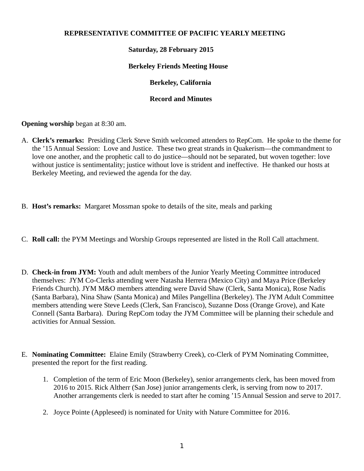#### **REPRESENTATIVE COMMITTEE OF PACIFIC YEARLY MEETING**

## **Saturday, 28 February 2015**

#### **Berkeley Friends Meeting House**

## **Berkeley, California**

## **Record and Minutes**

**Opening worship** began at 8:30 am.

- A. **Clerk's remarks:** Presiding Clerk Steve Smith welcomed attenders to RepCom. He spoke to the theme for the '15 Annual Session: Love and Justice. These two great strands in Quakerism—the commandment to love one another, and the prophetic call to do justice—should not be separated, but woven together: love without justice is sentimentality; justice without love is strident and ineffective. He thanked our hosts at Berkeley Meeting, and reviewed the agenda for the day.
- B. **Host's remarks:** Margaret Mossman spoke to details of the site, meals and parking
- C. **Roll call:** the PYM Meetings and Worship Groups represented are listed in the Roll Call attachment.
- D. **Check-in from JYM:** Youth and adult members of the Junior Yearly Meeting Committee introduced themselves: JYM Co-Clerks attending were Natasha Herrera (Mexico City) and Maya Price (Berkeley Friends Church). JYM M&O members attending were David Shaw (Clerk, Santa Monica), Rose Nadis (Santa Barbara), Nina Shaw (Santa Monica) and Miles Pangellina (Berkeley). The JYM Adult Committee members attending were Steve Leeds (Clerk, San Francisco), Suzanne Doss (Orange Grove), and Kate Connell (Santa Barbara). During RepCom today the JYM Committee will be planning their schedule and activities for Annual Session.
- E. **Nominating Committee:** Elaine Emily (Strawberry Creek), co-Clerk of PYM Nominating Committee, presented the report for the first reading.
	- 1. Completion of the term of Eric Moon (Berkeley), senior arrangements clerk, has been moved from 2016 to 2015. Rick Altherr (San Jose) junior arrangements clerk, is serving from now to 2017. Another arrangements clerk is needed to start after he coming '15 Annual Session and serve to 2017.
	- 2. Joyce Pointe (Appleseed) is nominated for Unity with Nature Committee for 2016.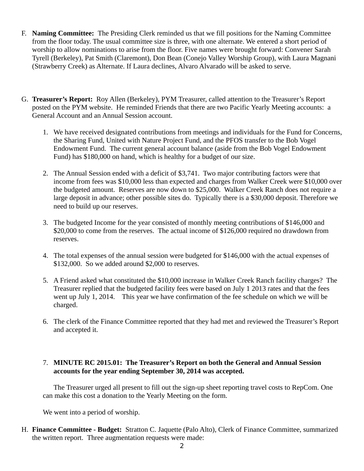- F. **Naming Committee:** The Presiding Clerk reminded us that we fill positions for the Naming Committee from the floor today. The usual committee size is three, with one alternate. We entered a short period of worship to allow nominations to arise from the floor. Five names were brought forward: Convener Sarah Tyrell (Berkeley), Pat Smith (Claremont), Don Bean (Conejo Valley Worship Group), with Laura Magnani (Strawberry Creek) as Alternate. If Laura declines, Alvaro Alvarado will be asked to serve.
- G. **Treasurer's Report:** Roy Allen (Berkeley), PYM Treasurer, called attention to the Treasurer's Report posted on the PYM website. He reminded Friends that there are two Pacific Yearly Meeting accounts: a General Account and an Annual Session account.
	- 1. We have received designated contributions from meetings and individuals for the Fund for Concerns, the Sharing Fund, United with Nature Project Fund, and the PFOS transfer to the Bob Vogel Endowment Fund. The current general account balance (aside from the Bob Vogel Endowment Fund) has \$180,000 on hand, which is healthy for a budget of our size.
	- 2. The Annual Session ended with a deficit of \$3,741. Two major contributing factors were that income from fees was \$10,000 less than expected and charges from Walker Creek were \$10,000 over the budgeted amount. Reserves are now down to \$25,000. Walker Creek Ranch does not require a large deposit in advance; other possible sites do. Typically there is a \$30,000 deposit. Therefore we need to build up our reserves.
	- 3. The budgeted Income for the year consisted of monthly meeting contributions of \$146,000 and \$20,000 to come from the reserves. The actual income of \$126,000 required no drawdown from reserves.
	- 4. The total expenses of the annual session were budgeted for \$146,000 with the actual expenses of \$132,000. So we added around \$2,000 to reserves.
	- 5. A Friend asked what constituted the \$10,000 increase in Walker Creek Ranch facility charges? The Treasurer replied that the budgeted facility fees were based on July 1 2013 rates and that the fees went up July 1, 2014. This year we have confirmation of the fee schedule on which we will be charged.
	- 6. The clerk of the Finance Committee reported that they had met and reviewed the Treasurer's Report and accepted it.

## 7. **MINUTE RC 2015.01: The Treasurer's Report on both the General and Annual Session accounts for the year ending September 30, 2014 was accepted.**

The Treasurer urged all present to fill out the sign-up sheet reporting travel costs to RepCom. One can make this cost a donation to the Yearly Meeting on the form.

We went into a period of worship.

H. **Finance Committee - Budget:** Stratton C. Jaquette (Palo Alto), Clerk of Finance Committee, summarized the written report. Three augmentation requests were made: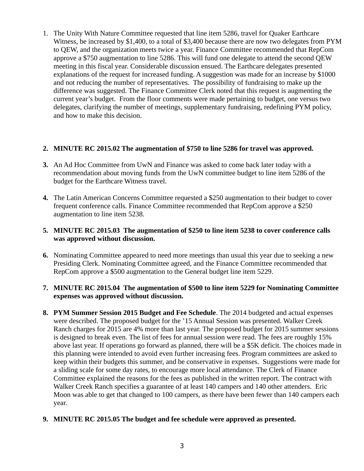1. The Unity With Nature Committee requested that line item 5286, travel for Quaker Earthcare Witness, be increased by \$1,400, to a total of \$3,400 because there are now two delegates from PYM to QEW, and the organization meets twice a year. Finance Committee recommended that RepCom approve a \$750 augmentation to line 5286. This will fund one delegate to attend the second QEW meeting in this fiscal year. Considerable discussion ensued. The Earthcare delegates presented explanations of the request for increased funding. A suggestion was made for an increase by \$1000 and not reducing the number of representatives. The possibility of fundraising to make up the difference was suggested. The Finance Committee Clerk noted that this request is augmenting the current year's budget. From the floor comments were made pertaining to budget, one versus two delegates, clarifying the number of meetings, supplementary fundraising, redefining PYM policy, and how to make this decision.

## **2. MINUTE RC 2015.02 The augmentation of \$750 to line 5286 for travel was approved.**

- **3.** An Ad Hoc Committee from UwN and Finance was asked to come back later today with a recommendation about moving funds from the UwN committee budget to line item 5286 of the budget for the Earthcare Witness travel.
- **4.** The Latin American Concerns Committee requested a \$250 augmentation to their budget to cover frequent conference calls. Finance Committee recommended that RepCom approve a \$250 augmentation to line item 5238.

## **5. MINUTE RC 2015.03 The augmentation of \$250 to line item 5238 to cover conference calls was approved without discussion.**

**6.** Nominating Committee appeared to need more meetings than usual this year due to seeking a new Presiding Clerk. Nominating Committee agreed, and the Finance Committee recommended that RepCom approve a \$500 augmentation to the General budget line item 5229.

## **7. MINUTE RC 2015.04 The augmentation of \$500 to line item 5229 for Nominating Committee expenses was approved without discussion.**

**8. PYM Summer Session 2015 Budget and Fee Schedule**. The 2014 budgeted and actual expenses were described. The proposed budget for the '15 Annual Session was presented. Walker Creek Ranch charges for 2015 are 4% more than last year. The proposed budget for 2015 summer sessions is designed to break even. The list of fees for annual session were read. The fees are roughly 15% above last year. If operations go forward as planned, there will be a \$5K deficit. The choices made in this planning were intended to avoid even further increasing fees. Program committees are asked to keep within their budgets this summer, and be conservative in expenses. Suggestions were made for a sliding scale for some day rates, to encourage more local attendance. The Clerk of Finance Committee explained the reasons for the fees as published in the written report. The contract with Walker Creek Ranch specifies a guarantee of at least 140 campers and 140 other attenders. Eric Moon was able to get that changed to 100 campers, as there have been fewer than 140 campers each year.

## **9. MINUTE RC 2015.05 The budget and fee schedule were approved as presented.**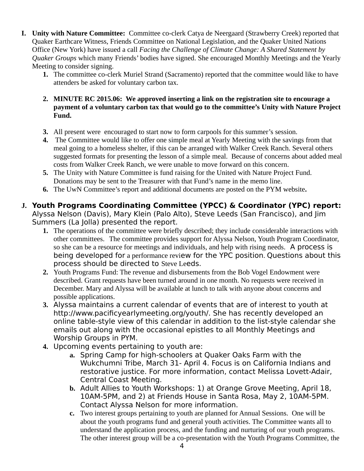- **I. Unity with Nature Committee:** Committee co-clerk Catya de Neergaard (Strawberry Creek) reported that Quaker Earthcare Witness, Friends Committee on National Legislation, and the Quaker United Nations Office (New York) have issued a call *Facing the Challenge of Climate Change: A Shared Statement by Quaker Groups* which many Friends' bodies have signed. She encouraged Monthly Meetings and the Yearly Meeting to consider signing.
	- **1.** The committee co-clerk Muriel Strand (Sacramento) reported that the committee would like to have attenders be asked for voluntary carbon tax.
	- **2. MINUTE RC 2015.06: We approved inserting a link on the registration site to encourage a payment of a voluntary carbon tax that would go to the committee's Unity with Nature Project Fund.**
	- **3.** All present were encouraged to start now to form carpools for this summer's session.
	- **4.** The Committee would like to offer one simple meal at Yearly Meeting with the savings from that meal going to a homeless shelter, if this can be arranged with Walker Creek Ranch. Several others suggested formats for presenting the lesson of a simple meal. Because of concerns about added meal costs from Walker Creek Ranch, we were unable to move forward on this concern.
	- **5.** The Unity with Nature Committee is fund raising for the United with Nature Project Fund. Donations may be sent to the Treasurer with that Fund's name in the memo line.
	- **6.** The UwN Committee's report and additional documents are posted on the PYM website**.**

# **J. Youth Programs Coordinating Committee (YPCC) & Coordinator (YPC) report:**

Alyssa Nelson (Davis), Mary Klein (Palo Alto), Steve Leeds (San Francisco), and Jim Summers (La Jolla) presented the report.

- **1.** The operations of the committee were briefly described; they include considerable interactions with other committees. The committee provides support for Alyssa Nelson, Youth Program Coordinator, so she can be a resource for meetings and individuals, and help with rising needs. A process is being developed for a performance review for the YPC position. Questions about this process should be directed to Steve Leeds.
- **2.** Youth Programs Fund: The revenue and disbursements from the Bob Vogel Endowment were described. Grant requests have been turned around in one month. No requests were received in December. Mary and Alyssa will be available at lunch to talk with anyone about concerns and possible applications.
- **3.** Alyssa maintains a current calendar of events that are of interest to youth at http://www.pacificyearlymeeting.org/youth/. She has recently developed an online table-style view of this calendar in addition to the list-style calendar she emails out along with the occasional epistles to all Monthly Meetings and Worship Groups in PYM.
- **4.** Upcoming events pertaining to youth are:
	- **a.** Spring Camp for high-schoolers at Quaker Oaks Farm with the Wukchumni Tribe, March 31- April 4. Focus is on California Indians and restorative justice. For more information, contact Melissa Lovett-Adair, Central Coast Meeting.
	- **b.** Adult Allies to Youth Workshops: 1) at Orange Grove Meeting, April 18, 10AM-5PM, and 2) at Friends House in Santa Rosa, May 2, 10AM-5PM. Contact Alyssa Nelson for more information.
	- **c.** Two interest groups pertaining to youth are planned for Annual Sessions. One will be about the youth programs fund and general youth activities. The Committee wants all to understand the application process, and the funding and nurturing of our youth programs. The other interest group will be a co-presentation with the Youth Programs Committee, the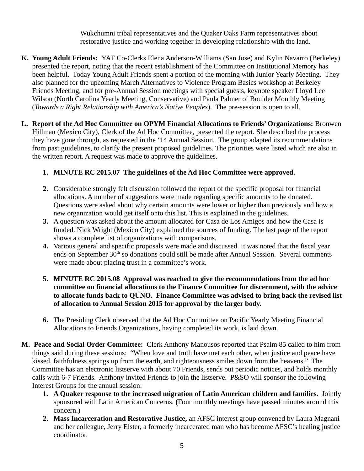Wukchumni tribal representatives and the Quaker Oaks Farm representatives about restorative justice and working together in developing relationship with the land.

- **K. Young Adult Friends:** YAF Co-Clerks Elena Anderson-Williams (San Jose) and Kylin Navarro (Berkeley) presented the report, noting that the recent establishment of the Committee on Institutional Memory has been helpful. Today Young Adult Friends spent a portion of the morning with Junior Yearly Meeting. They also planned for the upcoming March Alternatives to Violence Program Basics workshop at Berkeley Friends Meeting, and for pre-Annual Session meetings with special guests, keynote speaker Lloyd Lee Wilson (North Carolina Yearly Meeting, Conservative) and Paula Palmer of Boulder Monthly Meeting (*Towards a Right Relationship with America's Native Peoples*). The pre-session is open to all.
- **L. Report of the Ad Hoc Committee on OPYM Financial Allocations to Friends' Organizations:** Bronwen Hillman (Mexico City), Clerk of the Ad Hoc Committee, presented the report. She described the process they have gone through, as requested in the '14 Annual Session. The group adapted its recommendations from past guidelines, to clarify the present proposed guidelines. The priorities were listed which are also in the written report. A request was made to approve the guidelines.

# **1. MINUTE RC 2015.07 The guidelines of the Ad Hoc Committee were approved.**

- **2.** Considerable strongly felt discussion followed the report of the specific proposal for financial allocations. A number of suggestions were made regarding specific amounts to be donated. Questions were asked about why certain amounts were lower or higher than previously and how a new organization would get itself onto this list. This is explained in the guidelines.
- **3.** A question was asked about the amount allocated for Casa de Los Amigos and how the Casa is funded. Nick Wright (Mexico City) explained the sources of funding. The last page of the report shows a complete list of organizations with comparisons.
- **4.** Various general and specific proposals were made and discussed. It was noted that the fiscal year ends on September 30<sup>th</sup> so donations could still be made after Annual Session. Several comments were made about placing trust in a committee's work.
- **5. MINUTE RC 2015.08 Approval was reached to give the recommendations from the ad hoc committee on financial allocations to the Finance Committee for discernment, with the advice to allocate funds back to QUNO. Finance Committee was advised to bring back the revised list of allocation to Annual Session 2015 for approval by the larger body.**
- **6.** The Presiding Clerk observed that the Ad Hoc Committee on Pacific Yearly Meeting Financial Allocations to Friends Organizations, having completed its work, is laid down.
- **M. Peace and Social Order Committee:** Clerk Anthony Manousos reported that Psalm 85 called to him from things said during these sessions: "When love and truth have met each other, when justice and peace have kissed, faithfulness springs up from the earth, and righteousness smiles down from the heavens." The Committee has an electronic listserve with about 70 Friends, sends out periodic notices, and holds monthly calls with 6-7 Friends. Anthony invited Friends to join the listserve. P&SO will sponsor the following Interest Groups for the annual session:
	- **1. A Quaker response to the increased migration of Latin American children and families.** Jointly sponsored with Latin American Concerns. **(**Four monthly meetings have passed minutes around this concern.)
	- **2. Mass Incarceration and Restorative Justice,** an AFSC interest group convened by Laura Magnani and her colleague, Jerry Elster, a formerly incarcerated man who has become AFSC's healing justice coordinator.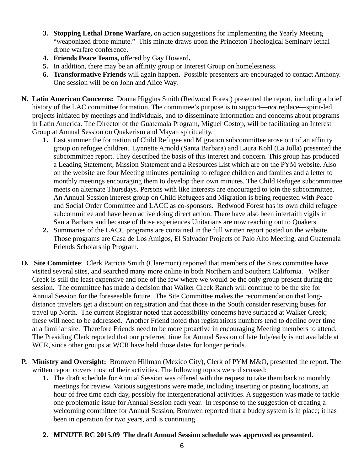- **3. Stopping Lethal Drone Warfare,** on action suggestions for implementing the Yearly Meeting "weaponized drone minute." This minute draws upon the Princeton Theological Seminary lethal drone warfare conference.
- **4. Friends Peace Teams,** offered by Gay Howard**.**
- **5.** In addition, there may be an affinity group or Interest Group on homelessness.
- **6. Transformative Friends** will again happen. Possible presenters are encouraged to contact Anthony. One session will be on John and Alice Way.
- **N. Latin American Concerns:** Donna Higgins Smith (Redwood Forest) presented the report, including a brief history of the LAC committee formation. The committee's purpose is to support—*not* replace—spirit-led projects initiated by meetings and individuals, and to disseminate information and concerns about programs in Latin America. The Director of the Guatemala Program, Miguel Costop, will be facilitating an Interest Group at Annual Session on Quakerism and Mayan spirituality.
	- **1.** Last summer the formation of Child Refugee and Migration subcommittee arose out of an affinity group on refugee children. Lynnette Arnold (Santa Barbara) and Laura Kohl (La Jolla) presented the subcommittee report. They described the basis of this interest and concern. This group has produced a Leading Statement, Mission Statement and a Resources List which are on the PYM website. Also on the website are four Meeting minutes pertaining to refugee children and families and a letter to monthly meetings encouraging them to develop their own minutes. The Child Refugee subcommittee meets on alternate Thursdays. Persons with like interests are encouraged to join the subcommittee. An Annual Session interest group on Child Refugees and Migration is being requested with Peace and Social Order Committee and LACC as co-sponsors. Redwood Forest has its own child refugee subcommittee and have been active doing direct action. There have also been interfaith vigils in Santa Barbara and because of those experiences Unitarians are now reaching out to Quakers.
	- **2.** Summaries of the LACC programs are contained in the full written report posted on the website. Those programs are Casa de Los Amigos, El Salvador Projects of Palo Alto Meeting, and Guatemala Friends Scholarship Program.
- **O. Site Committee**: Clerk Patricia Smith (Claremont) reported that members of the Sites committee have visited several sites, and searched many more online in both Northern and Southern California. Walker Creek is still the least expensive and one of the few where we would be the only group present during the session. The committee has made a decision that Walker Creek Ranch will continue to be the site for Annual Session for the foreseeable future. The Site Committee makes the recommendation that longdistance travelers get a discount on registration and that those in the South consider reserving buses for travel up North. The current Registrar noted that accessibility concerns have surfaced at Walker Creek; these will need to be addressed. Another Friend noted that registrations numbers tend to decline over time at a familiar site. Therefore Friends need to be more proactive in encouraging Meeting members to attend. The Presiding Clerk reported that our preferred time for Annual Session of late July/early is not available at WCR, since other groups at WCR have held those dates for longer periods.
- **P. Ministry and Oversight:** Bronwen Hillman (Mexico City), Clerk of PYM M&O, presented the report. The written report covers most of their activities. The following topics were discussed:
	- **1.** The draft schedule for Annual Session was offered with the request to take them back to monthly meetings for review. Various suggestions were made, including inserting or posting locations, an hour of free time each day, possibly for intergenerational activities. A suggestion was made to tackle one problematic issue for Annual Session each year. In response to the suggestion of creating a welcoming committee for Annual Session, Bronwen reported that a buddy system is in place; it has been in operation for two years, and is continuing.
	- **2. MINUTE RC 2015.09 The draft Annual Session schedule was approved as presented.**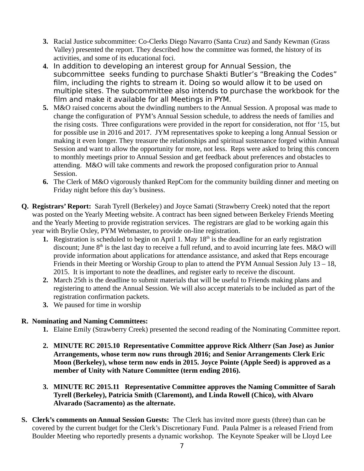- **3.** Racial Justice subcommittee: Co-Clerks Diego Navarro (Santa Cruz) and Sandy Kewman (Grass Valley) presented the report. They described how the committee was formed, the history of its activities, and some of its educational foci.
- **4.** In addition to developing an interest group for Annual Session, the subcommittee seeks funding to purchase Shakti Butler's "Breaking the Codes" film, including the rights to stream it. Doing so would allow it to be used on multiple sites. The subcommittee also intends to purchase the workbook for the film and make it available for all Meetings in PYM.
- **5.** M&O raised concerns about the dwindling numbers to the Annual Session. A proposal was made to change the configuration of PYM's Annual Session schedule, to address the needs of families and the rising costs. Three configurations were provided in the report for consideration, not ffor '15, but for possible use in 2016 and 2017. JYM representatives spoke to keeping a long Annual Session or making it even longer. They treasure the relationships and spiritual sustenance forged within Annual Session and want to allow the opportunity for more, not less. Reps were asked to bring this concern to monthly meetings prior to Annual Session and get feedback about preferences and obstacles to attending. M&O will take comments and rework the proposed configuration prior to Annual Session.
- **6.** The Clerk of M&O vigorously thanked RepCom for the community building dinner and meeting on Friday night before this day's business.
- **Q. Registrars' Report:** Sarah Tyrell (Berkeley) and Joyce Samati (Strawberry Creek) noted that the report was posted on the Yearly Meeting website. A contract has been signed between Berkeley Friends Meeting and the Yearly Meeting to provide registration services. The registrars are glad to be working again this year with Brylie Oxley, PYM Webmaster, to provide on-line registration.
	- **1.** Registration is scheduled to begin on April 1. May 18<sup>th</sup> is the deadline for an early registration discount; June  $8<sup>th</sup>$  is the last day to receive a full refund, and to avoid incurring late fees. M&O will provide information about applications for attendance assistance, and asked that Reps encourage Friends in their Meeting or Worship Group to plan to attend the PYM Annual Session July 13 – 18, 2015. It is important to note the deadlines, and register early to receive the discount.
	- **2.** March 25th is the deadline to submit materials that will be useful to Friends making plans and registering to attend the Annual Session. We will also accept materials to be included as part of the registration confirmation packets.
	- **3.** We paused for time in worship

# **R. Nominating and Naming Committees:**

- **1.** Elaine Emily (Strawberry Creek) presented the second reading of the Nominating Committee report.
- **2. MINUTE RC 2015.10 Representative Committee approve Rick Altherr (San Jose) as Junior Arrangements, whose term now runs through 2016; and Senior Arrangements Clerk Eric Moon (Berkeley), whose term now ends in 2015. Joyce Pointe (Apple Seed) is approved as a member of Unity with Nature Committee (term ending 2016).**
- **3. MINUTE RC 2015.11 Representative Committee approves the Naming Committee of Sarah Tyrell (Berkeley), Patricia Smith (Claremont), and Linda Rowell (Chico), with Alvaro Alvarado (Sacramento) as the alternate.**
- **S. Clerk's comments on Annual Session Guests:** The Clerk has invited more guests (three) than can be covered by the current budget for the Clerk's Discretionary Fund. Paula Palmer is a released Friend from Boulder Meeting who reportedly presents a dynamic workshop. The Keynote Speaker will be Lloyd Lee